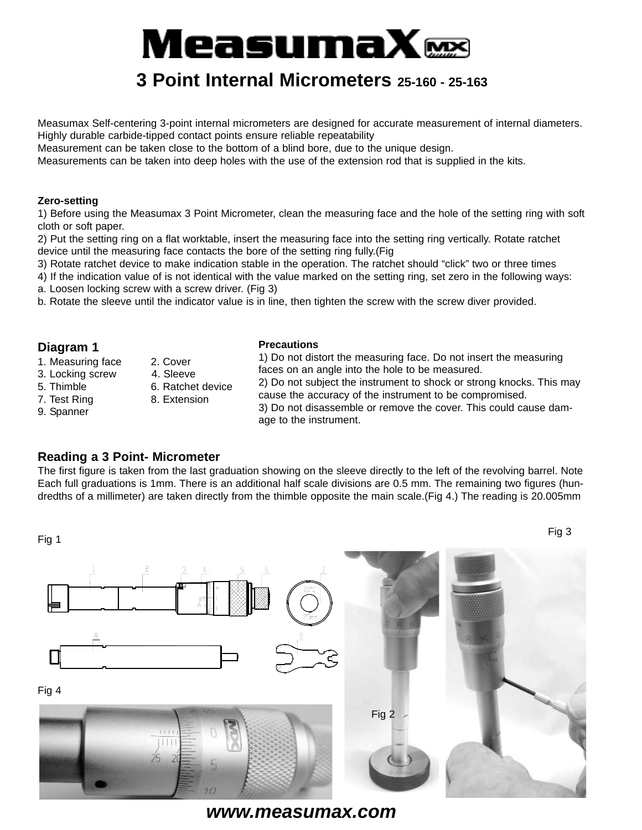# MeasumaX $\bf \Xi\Xi$

## **3 Point Internal Micrometers 25-160 - 25-163**

Measumax Self-centering 3-point internal micrometers are designed for accurate measurement of internal diameters. Highly durable carbide-tipped contact points ensure reliable repeatability

Measurement can be taken close to the bottom of a blind bore, due to the unique design.

Measurements can be taken into deep holes with the use of the extension rod that is supplied in the kits.

#### **Zero-setting**

1) Before using the Measumax 3 Point Micrometer, clean the measuring face and the hole of the setting ring with soft cloth or soft paper.

2) Put the setting ring on a flat worktable, insert the measuring face into the setting ring vertically. Rotate ratchet device until the measuring face contacts the bore of the setting ring fully.(Fig

3) Rotate ratchet device to make indication stable in the operation. The ratchet should "click" two or three times

4) If the indication value of is not identical with the value marked on the setting ring, set zero in the following ways:

a. Loosen locking screw with a screw driver. (Fig 3)

b. Rotate the sleeve until the indicator value is in line, then tighten the screw with the screw diver provided.

#### **Diagram 1** 1. Measuring face 2. Cover 3. Locking screw 4. Sleeve 5. Thimble 6. Ratchet device 7. Test Ring 8. Extension 9. Spanner **Precautions** 1) Do not distort the measuring face. Do not insert the measuring faces on an angle into the hole to be measured. 2) Do not subject the instrument to shock or strong knocks. This may cause the accuracy of the instrument to be compromised. 3) Do not disassemble or remove the cover. This could cause damage to the instrument.

### **Reading a 3 Point- Micrometer**

The first figure is taken from the last graduation showing on the sleeve directly to the left of the revolving barrel. Note Each full graduations is 1mm. There is an additional half scale divisions are 0.5 mm. The remaining two figures (hundredths of a millimeter) are taken directly from the thimble opposite the main scale.(Fig 4.) The reading is 20.005mm

Fig 1 Fig 3 Fig 4 Fig 2

*www.measumax.com*